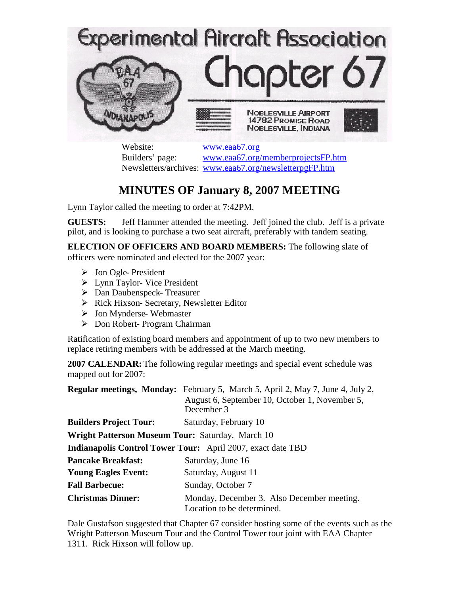

Website: [www.eaa67.org](http://www.eaa67.org/) Builders' page: [www.eaa67.org/memberprojectsFP.htm](http://www.eaa67.org/memberprojectsFP.htm) Newsletters/archives: [www.eaa67.org/newsletterpgFP.htm](http://www.eaa67.org/newsletterpgFP.htm)

## **MINUTES OF January 8, 2007 MEETING**

Lynn Taylor called the meeting to order at 7:42PM.

**GUESTS:** Jeff Hammer attended the meeting. Jeff joined the club. Jeff is a private pilot, and is looking to purchase a two seat aircraft, preferably with tandem seating.

**ELECTION OF OFFICERS AND BOARD MEMBERS:** The following slate of officers were nominated and elected for the 2007 year:

- > Jon Ogle- President
- Lynn Taylor- Vice President
- Dan Daubenspeck- Treasurer
- $\triangleright$  Rick Hixson- Secretary, Newsletter Editor
- > Jon Mynderse- Webmaster
- Don Robert- Program Chairman

Ratification of existing board members and appointment of up to two new members to replace retiring members with be addressed at the March meeting.

**2007 CALENDAR:** The following regular meetings and special event schedule was mapped out for 2007:

|                                                                    | <b>Regular meetings, Monday:</b> February 5, March 5, April 2, May 7, June 4, July 2,<br>August 6, September 10, October 1, November 5,<br>December 3 |
|--------------------------------------------------------------------|-------------------------------------------------------------------------------------------------------------------------------------------------------|
| <b>Builders Project Tour:</b>                                      | Saturday, February 10                                                                                                                                 |
| <b>Wright Patterson Museum Tour: Saturday, March 10</b>            |                                                                                                                                                       |
| <b>Indianapolis Control Tower Tour:</b> April 2007, exact date TBD |                                                                                                                                                       |
| <b>Pancake Breakfast:</b>                                          | Saturday, June 16                                                                                                                                     |
| <b>Young Eagles Event:</b>                                         | Saturday, August 11                                                                                                                                   |
| <b>Fall Barbecue:</b>                                              | Sunday, October 7                                                                                                                                     |
| <b>Christmas Dinner:</b>                                           | Monday, December 3. Also December meeting.<br>Location to be determined.                                                                              |

Dale Gustafson suggested that Chapter 67 consider hosting some of the events such as the Wright Patterson Museum Tour and the Control Tower tour joint with EAA Chapter 1311. Rick Hixson will follow up.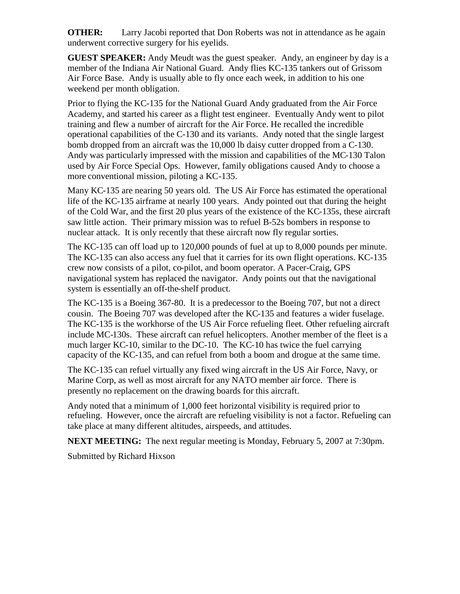**OTHER:** Larry Jacobi reported that Don Roberts was not in attendance as he again underwent corrective surgery for his eyelids.

**GUEST SPEAKER:** Andy Meudt was the guest speaker. Andy, an engineer by day is a member of the Indiana Air National Guard. Andy flies KC-135 tankers out of Grissom Air Force Base. Andy is usually able to fly once each week, in addition to his one weekend per month obligation.

Prior to flying the KC-135 for the National Guard Andy graduated from the Air Force Academy, and started his career as a flight test engineer. Eventually Andy went to pilot training and flew a number of aircraft for the Air Force. He recalled the incredible operational capabilities of the C-130 and its variants. Andy noted that the single largest bomb dropped from an aircraft was the 10,000 lb daisy cutter dropped from a C-130. Andy was particularly impressed with the mission and capabilities of the MC-130 Talon used by Air Force Special Ops. However, family obligations caused Andy to choose a more conventional mission, piloting a KC-135.

Many KC-135 are nearing 50 years old. The US Air Force has estimated the operational life of the KC-135 airframe at nearly 100 years. Andy pointed out that during the height of the Cold War, and the first 20 plus years of the existence of the KC-135s, these aircraft saw little action. Their primary mission was to refuel B-52s bombers in response to nuclear attack. It is only recently that these aircraft now fly regular sorties.

The KC-135 can off load up to 120,000 pounds of fuel at up to 8,000 pounds per minute. The KC-135 can also access any fuel that it carries for its own flight operations. KC-135 crew now consists of a pilot, co-pilot, and boom operator. A Pacer-Craig, GPS navigational system has replaced the navigator. Andy points out that the navigational system is essentially an off-the-shelf product.

The KC-135 is a Boeing 367-80. It is a predecessor to the Boeing 707, but not a direct cousin. The Boeing 707 was developed after the KC-135 and features a wider fuselage. The KC-135 is the workhorse of the US Air Force refueling fleet. Other refueling aircraft include MC-130s. These aircraft can refuel helicopters. Another member of the fleet is a much larger KC-10, similar to the DC-10. The KC-10 has twice the fuel carrying capacity of the KC-135, and can refuel from both a boom and drogue at the same time.

The KC-135 can refuel virtually any fixed wing aircraft in the US Air Force, Navy, or Marine Corp, as well as most aircraft for any NATO member air force. There is presently no replacement on the drawing boards for this aircraft.

Andy noted that a minimum of 1,000 feet horizontal visibility is required prior to refueling. However, once the aircraft are refueling visibility is not a factor. Refueling can take place at many different altitudes, airspeeds, and attitudes.

**NEXT MEETING:** The next regular meeting is Monday, February 5, 2007 at 7:30pm.

Submitted by Richard Hixson